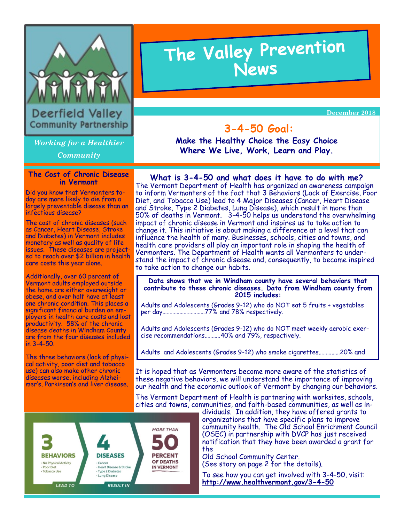

Deerfield Valley **Community Partnership** 

*Working for a Healthier*

*Community*

### **The Cost of Chronic Disease in Vermont**

Did you know that Vermonters today are more likely to die from a largely preventable disease than an infectious disease?

The cost of chronic diseases (such as Cancer, Heart Disease, Stroke and Diabetes) in Vermont includes monetary as well as quality of life issues. These diseases are projected to reach over \$2 billion in health care costs this year alone.

Additionally, over 60 percent of Vermont adults employed outside the home are either overweight or obese, and over half have at least one chronic condition. This places a significant financial burden on employers in health care costs and lost productivity. 58% of the chronic disease deaths in Windham County are from the four diseases included in 3-4-50.

The three behaviors (lack of physical activity, poor diet and tobacco use) can also make other chronic diseases worse, including Alzheimer's, Parkinson's and liver disease.

# The Valley Prevention<br>News

 **December 2018** 

# **3-4-50 Goal:**

**Make the Healthy Choice the Easy Choice Where We Live, Work, Learn and Play.** 

## **What is 3-4-50 and what does it have to do with me?**

The Vermont Department of Health has organized an awareness campaign to inform Vermonters of the fact that 3 Behaviors (Lack of Exercise, Poor Diet, and Tobacco Use) lead to 4 Major Diseases (Cancer, Heart Disease and Stroke, Type 2 Diabetes, Lung Disease), which result in more than 50% of deaths in Vermont. 3-4-50 helps us understand the overwhelming impact of chronic disease in Vermont and inspires us to take action to change it. This initiative is about making a difference at a level that can influence the health of many. Businesses, schools, cities and towns, and health care providers all play an important role in shaping the health of Vermonters. The Department of Health wants all Vermonters to understand the impact of chronic disease and, consequently, to become inspired to take action to change our habits.

#### **Data shows that we in Windham county have several behaviors that contribute to these chronic diseases. Data from Windham county from 2015 includes:**

Adults and Adolescents (Grades 9-12) who do NOT eat 5 fruits + vegetables per day…………………………77% and 78% respectively.

Adults and Adolescents (Grades 9-12) who do NOT meet weekly aerobic exercise recommendations………..40% and 79%, respectively.

Adults and Adolescents (Grades 9-12) who smoke cigarettes……………20% and

It is hoped that as Vermonters become more aware of the statistics of these negative behaviors, we will understand the importance of improving our health and the economic outlook of Vermont by changing our behaviors.

The Vermont Department of Health is partnering with worksites, schools, cities and towns, communities, and faith-based communities, as well as in-



dividuals. In addition, they have offered grants to organizations that have specific plans to improve community health. The Old School Enrichment Council (OSEC) in partnership with DVCP has just received notification that they have been awarded a grant for the

Old School Community Center. (See story on page 2 for the details).

To see how you can get involved with 3-4-50, visit: **http://www.healthvermont.gov/3-4-50**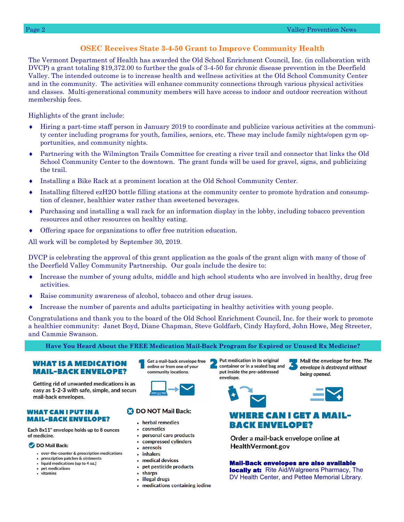## **OSEC Receives State 3-4-50 Grant to Improve Community Health**

The Vermont Department of Health has awarded the Old School Enrichment Council, Inc. (in collaboration with DVCP) a grant totaling \$19,372.00 to further the goals of 3-4-50 for chronic disease prevention in the Deerfield Valley. The intended outcome is to increase health and wellness activities at the Old School Community Center and in the community. The activities will enhance community connections through various physical activities and classes. Multi-generational community members will have access to indoor and outdoor recreation without membership fees.

Highlights of the grant include:

- Hiring a part-time staff person in January 2019 to coordinate and publicize various activities at the community center including programs for youth, families, seniors, etc. These may include family nights/open gym opportunities, and community nights.
- Partnering with the Wilmington Trails Committee for creating a river trail and connector that links the Old School Community Center to the downtown. The grant funds will be used for gravel, signs, and publicizing the trail.
- Installing a Bike Rack at a prominent location at the Old School Community Center.
- Installing filtered ezH2O bottle filling stations at the community center to promote hydration and consumption of cleaner, healthier water rather than sweetened beverages.
- Purchasing and installing a wall rack for an information display in the lobby, including tobacco prevention resources and other resources on healthy eating.
- Offering space for organizations to offer free nutrition education.

All work will be completed by September 30, 2019.

DVCP is celebrating the approval of this grant application as the goals of the grant align with many of those of the Deerfield Valley Community Partnership. Our goals include the desire to:

- Increase the number of young adults, middle and high school students who are involved in healthy, drug free activities.
- Raise community awareness of alcohol, tobacco and other drug issues.
- Increase the number of parents and adults participating in healthy activities with young people.

Congratulations and thank you to the board of the Old School Enrichment Council, Inc. for their work to promote a healthier community: Janet Boyd, Diane Chapman, Steve Goldfarb, Cindy Hayford, John Howe, Meg Streeter, and Cammie Swanson.

#### **Have You Heard About the FREE Medication Mail-Back Program for Expired or Unused Rx Medicine?**

#### **WHAT IS A MEDICATION MAIL-BACK ENVELOPE?**

Getting rid of unwanted medications is as easy as 1-2-3 with safe, simple, and secure mail-back envelopes.

#### **WHAT CAN I PUT IN A MAIL-BACK ENVELOPE?**

Each 8x11" envelope holds up to 8 ounces of medicine.

#### DO Mail Back:

- over-the-counter & prescription medications
- prescription patches & ointments
- liquid medications (up to 4 oz.) • pet medications
- vitamins

Get a mail-back envelope free online or from one of your community locations.



#### **B** DO NOT Mail Back:

- herbal remedies
- cosmetics
- personal care products  $\bullet$
- $\bullet$ compressed cylinders
- aerosols inhalers
- medical devices
	- pet pesticide products  $\bullet$
	- sharps
	- illegal drugs
	- medications containing iodine

Put medication in its original container or in a sealed bag and put inside the pre-addressed envelope.

Mail the envelope for free. The envelope is destroyed without being opened.



## **WHERE CAN I GET A MAIL-BACK ENVELOPE?**

Order a mail-back envelope online at **HealthVermont.gov** 

Mail-Back envelopes are also available **locally at:** Rite Aid/Walgreens Pharmacy, The DV Health Center, and Pettee Memorial Library.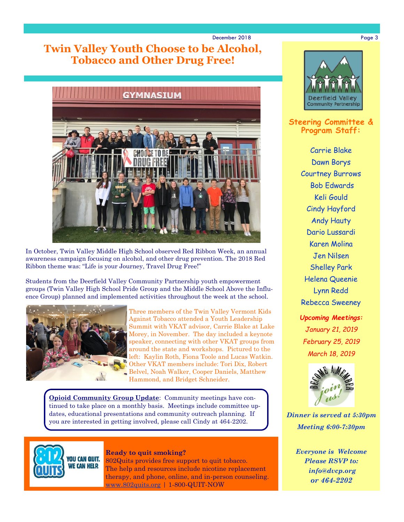#### December 2018 Page 3

# **Twin Valley Youth Choose to be Alcohol, Tobacco and Other Drug Free!**



In October, Twin Valley Middle High School observed Red Ribbon Week, an annual awareness campaign focusing on alcohol, and other drug prevention. The 2018 Red Ribbon theme was: "Life is your Journey, Travel Drug Free!"

Students from the Deerfield Valley Community Partnership youth empowerment groups (Twin Valley High School Pride Group and the Middle School Above the Influence Group) planned and implemented activities throughout the week at the school.



Three members of the Twin Valley Vermont Kids Against Tobacco attended a Youth Leadership Summit with VKAT advisor, Carrie Blake at Lake Morey, in November. The day included a keynote speaker, connecting with other VKAT groups from around the state and workshops. Pictured to the left: Kaylin Roth, Fiona Toole and Lucas Watkin. Other VKAT members include: Tori Dix, Robert Belvel, Noah Walker, Cooper Daniels, Matthew Hammond, and Bridget Schneider.

**Opioid Community Group Update**: Community meetings have continued to take place on a monthly basis. Meetings include committee updates, educational presentations and community outreach planning. If you are interested in getting involved, please call Cindy at 464-2202.



**Ready to quit smoking?**

802Quits provides free support to quit tobacco. The help and resources include nicotine replacement therapy, and phone, online, and in-person counseling. [www.802quits.org](http://802quits.org/) | 1-800-QUIT-NOW



**Steering Committee & Program Staff:**

> Carrie Blake Dawn Borys Courtney Burrows Bob Edwards Keli Gould Cindy Hayford Andy Hauty Dario Lussardi Karen Molina Jen Nilsen Shelley Park Helena Queenie Lynn Redd Rebecca Sweeney

*Upcoming Meetings: January 21, 2019 February 25, 2019 March 18, 2019*



*Dinner is served at 5:30pm Meeting 6:00-7:30pm*

*Everyone is Welcome Please RSVP to: info@dvcp.org or 464-2202*